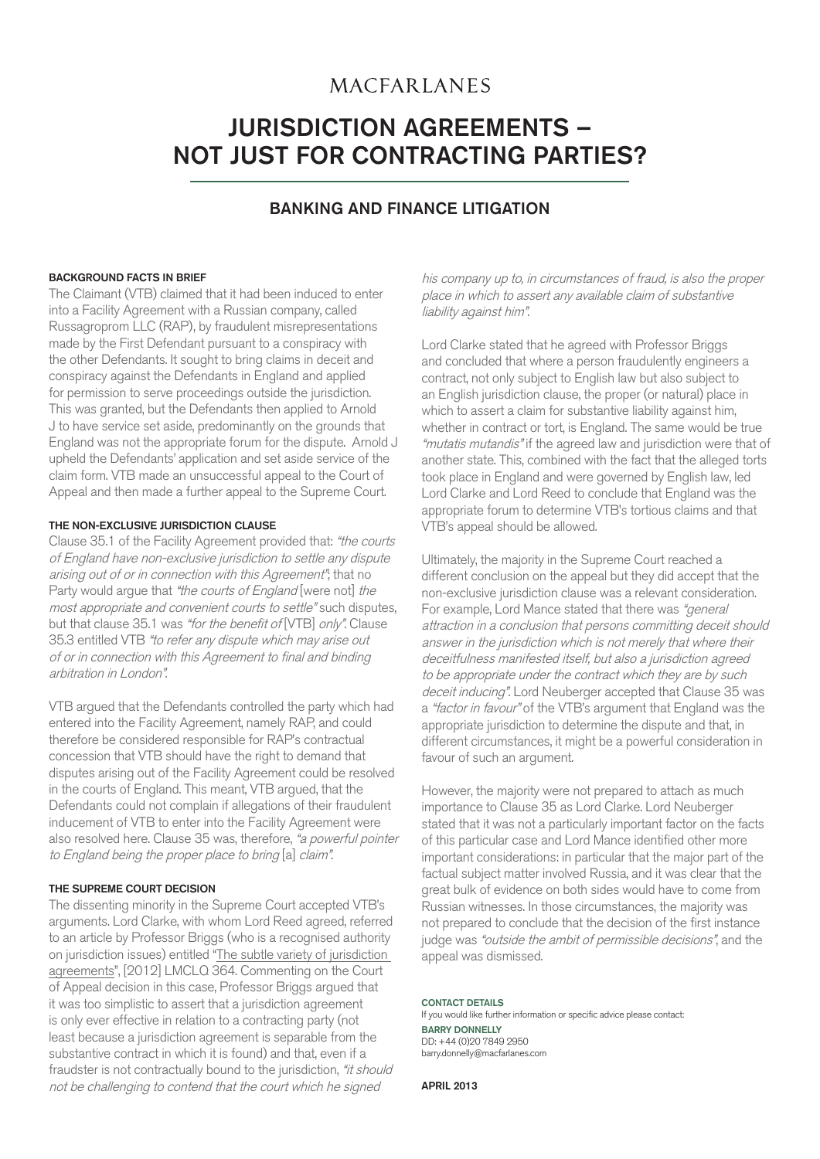## **MACFARLANES**

# JURISDICTION AGREEMENTS – NOT JUST FOR CONTRACTING PARTIES?

### BANKING AND FINANCE LITIGATION

#### BACKGROUND FACTS IN BRIEF

The Claimant (VTB) claimed that it had been induced to enter into a Facility Agreement with a Russian company, called Russagroprom LLC (RAP), by fraudulent misrepresentations made by the First Defendant pursuant to a conspiracy with the other Defendants. It sought to bring claims in deceit and conspiracy against the Defendants in England and applied for permission to serve proceedings outside the jurisdiction. This was granted, but the Defendants then applied to Arnold J to have service set aside, predominantly on the grounds that England was not the appropriate forum for the dispute. Arnold J upheld the Defendants' application and set aside service of the claim form. VTB made an unsuccessful appeal to the Court of Appeal and then made a further appeal to the Supreme Court.

#### THE NON-EXCLUSIVE JURISDICTION CLAUSE

Clause 35.1 of the Facility Agreement provided that: "the courts of England have non-exclusive jurisdiction to settle any dispute arising out of or in connection with this Agreement"; that no Party would argue that "the courts of England [were not] the most appropriate and convenient courts to settle" such disputes, but that clause 35.1 was "for the benefit of [VTB] only". Clause 35.3 entitled VTB "to refer any dispute which may arise out of or in connection with this Agreement to final and binding arbitration in London".

VTB argued that the Defendants controlled the party which had entered into the Facility Agreement, namely RAP, and could therefore be considered responsible for RAP's contractual concession that VTB should have the right to demand that disputes arising out of the Facility Agreement could be resolved in the courts of England. This meant, VTB argued, that the Defendants could not complain if allegations of their fraudulent inducement of VTB to enter into the Facility Agreement were also resolved here. Clause 35 was, therefore, "a powerful pointer to England being the proper place to bring [a] claim".

#### THE SUPREME COURT DECISION

The dissenting minority in the Supreme Court accepted VTB's arguments. Lord Clarke, with whom Lord Reed agreed, referred to an article by Professor Briggs (who is a recognised authority on jurisdiction issues) entitled "The subtle variety of jurisdiction agreements", [2012] LMCLQ 364. Commenting on the Court of Appeal decision in this case, Professor Briggs argued that it was too simplistic to assert that a jurisdiction agreement is only ever effective in relation to a contracting party (not least because a jurisdiction agreement is separable from the substantive contract in which it is found) and that, even if a fraudster is not contractually bound to the jurisdiction, "*it should* not be challenging to contend that the court which he signed

his company up to, in circumstances of fraud, is also the proper place in which to assert any available claim of substantive liability against him".

Lord Clarke stated that he agreed with Professor Briggs and concluded that where a person fraudulently engineers a contract, not only subject to English law but also subject to an English jurisdiction clause, the proper (or natural) place in which to assert a claim for substantive liability against him, whether in contract or tort, is England. The same would be true "mutatis mutandis" if the agreed law and jurisdiction were that of another state. This, combined with the fact that the alleged torts took place in England and were governed by English law, led Lord Clarke and Lord Reed to conclude that England was the appropriate forum to determine VTB's tortious claims and that VTB's appeal should be allowed.

Ultimately, the majority in the Supreme Court reached a different conclusion on the appeal but they did accept that the non-exclusive jurisdiction clause was a relevant consideration. For example, Lord Mance stated that there was "general attraction in a conclusion that persons committing deceit should answer in the jurisdiction which is not merely that where their deceitfulness manifested itself, but also a jurisdiction agreed to be appropriate under the contract which they are by such deceit inducing". Lord Neuberger accepted that Clause 35 was a "factor in favour" of the VTB's argument that England was the appropriate jurisdiction to determine the dispute and that, in different circumstances, it might be a powerful consideration in favour of such an argument.

However, the majority were not prepared to attach as much importance to Clause 35 as Lord Clarke. Lord Neuberger stated that it was not a particularly important factor on the facts of this particular case and Lord Mance identified other more important considerations: in particular that the major part of the factual subject matter involved Russia, and it was clear that the great bulk of evidence on both sides would have to come from Russian witnesses. In those circumstances, the majority was not prepared to conclude that the decision of the first instance judge was "outside the ambit of permissible decisions", and the appeal was dismissed.

#### CONTACT DETAILS

If you would like further information or specific advice please contact: BARRY DONNELLY DD: +44 (0)20 7849 2950 barry.donnelly@macfarlanes.com

APRIL 2013